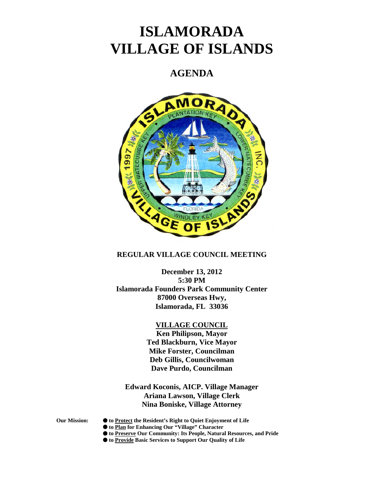# **ISLAMORADA VILLAGE OF ISLANDS**

# **AGENDA**



#### **REGULAR VILLAGE COUNCIL MEETING**

**December 13, 2012 5:30 PM Islamorada Founders Park Community Center 87000 Overseas Hwy, Islamorada, FL 33036**

#### **VILLAGE COUNCIL**

**Ken Philipson, Mayor Ted Blackburn, Vice Mayor Mike Forster, Councilman Deb Gillis, Councilwoman Dave Purdo, Councilman**

**Edward Koconis, AICP. Village Manager Ariana Lawson, Village Clerk Nina Boniske, Village Attorney**

- **Our Mission: to Protect the Resident's Right to Quiet Enjoyment of Life**
	- **to Plan for Enhancing Our "Village" Character**
	- **to Preserve Our Community: Its People, Natural Resources, and Pride**
	- **to Provide Basic Services to Support Our Quality of Life**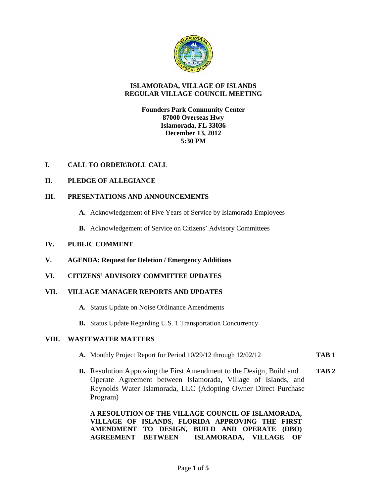

#### **ISLAMORADA, VILLAGE OF ISLANDS REGULAR VILLAGE COUNCIL MEETING**

**Founders Park Community Center 87000 Overseas Hwy Islamorada, FL 33036 December 13, 2012 5:30 PM**

# **I. CALL TO ORDER\ROLL CALL**

# **II. PLEDGE OF ALLEGIANCE**

#### **III. PRESENTATIONS AND ANNOUNCEMENTS**

- **A.** Acknowledgement of Five Years of Service by Islamorada Employees
- **B.** Acknowledgement of Service on Citizens' Advisory Committees

#### **IV. PUBLIC COMMENT**

**V. AGENDA: Request for Deletion / Emergency Additions**

# **VI. CITIZENS' ADVISORY COMMITTEE UPDATES**

#### **VII. VILLAGE MANAGER REPORTS AND UPDATES**

- **A.** Status Update on Noise Ordinance Amendments
- **B.** Status Update Regarding U.S. 1 Transportation Concurrency

#### **VIII. WASTEWATER MATTERS**

- **A.** Monthly Project Report for Period 10/29/12 through 12/02/12 **TAB 1**
- **B.** Resolution Approving the First Amendment to the Design, Build and **TAB 2** Operate Agreement between Islamorada, Village of Islands, and Reynolds Water Islamorada, LLC (Adopting Owner Direct Purchase Program)

**A RESOLUTION OF THE VILLAGE COUNCIL OF ISLAMORADA, VILLAGE OF ISLANDS, FLORIDA APPROVING THE FIRST AMENDMENT TO DESIGN, BUILD AND OPERATE (DBO) AGREEMENT BETWEEN ISLAMORADA, VILLAGE OF**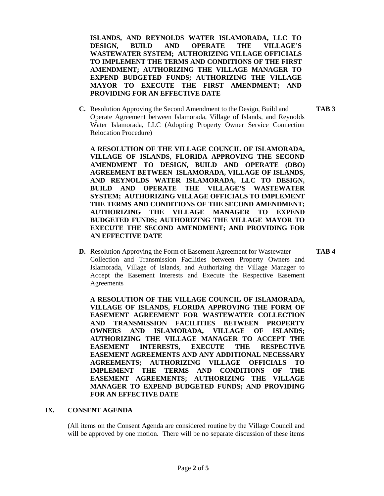**ISLANDS, AND REYNOLDS WATER ISLAMORADA, LLC TO DESIGN, BUILD AND OPERATE THE VILLAGE'S WASTEWATER SYSTEM; AUTHORIZING VILLAGE OFFICIALS TO IMPLEMENT THE TERMS AND CONDITIONS OF THE FIRST AMENDMENT; AUTHORIZING THE VILLAGE MANAGER TO EXPEND BUDGETED FUNDS; AUTHORIZING THE VILLAGE MAYOR TO EXECUTE THE FIRST AMENDMENT; AND PROVIDING FOR AN EFFECTIVE DATE**

**C.** Resolution Approving the Second Amendment to the Design, Build and **TAB 3** Operate Agreement between Islamorada, Village of Islands, and Reynolds Water Islamorada, LLC (Adopting Property Owner Service Connection Relocation Procedure)

**A RESOLUTION OF THE VILLAGE COUNCIL OF ISLAMORADA, VILLAGE OF ISLANDS, FLORIDA APPROVING THE SECOND AMENDMENT TO DESIGN, BUILD AND OPERATE (DBO) AGREEMENT BETWEEN ISLAMORADA, VILLAGE OF ISLANDS, AND REYNOLDS WATER ISLAMORADA, LLC TO DESIGN, BUILD AND OPERATE THE VILLAGE'S WASTEWATER SYSTEM; AUTHORIZING VILLAGE OFFICIALS TO IMPLEMENT THE TERMS AND CONDITIONS OF THE SECOND AMENDMENT; AUTHORIZING THE VILLAGE MANAGER TO EXPEND BUDGETED FUNDS; AUTHORIZING THE VILLAGE MAYOR TO EXECUTE THE SECOND AMENDMENT; AND PROVIDING FOR AN EFFECTIVE DATE**

**D.** Resolution Approving the Form of Easement Agreement for Wastewater **TAB 4** Collection and Transmission Facilities between Property Owners and Islamorada, Village of Islands, and Authorizing the Village Manager to Accept the Easement Interests and Execute the Respective Easement Agreements

**A RESOLUTION OF THE VILLAGE COUNCIL OF ISLAMORADA, VILLAGE OF ISLANDS, FLORIDA APPROVING THE FORM OF EASEMENT AGREEMENT FOR WASTEWATER COLLECTION AND TRANSMISSION FACILITIES BETWEEN PROPERTY OWNERS AND ISLAMORADA, VILLAGE OF ISLANDS; AUTHORIZING THE VILLAGE MANAGER TO ACCEPT THE EASEMENT INTERESTS, EXECUTE THE RESPECTIVE EASEMENT AGREEMENTS AND ANY ADDITIONAL NECESSARY AGREEMENTS; AUTHORIZING VILLAGE OFFICIALS TO IMPLEMENT THE TERMS AND CONDITIONS OF THE EASEMENT AGREEMENTS; AUTHORIZING THE VILLAGE MANAGER TO EXPEND BUDGETED FUNDS; AND PROVIDING FOR AN EFFECTIVE DATE**

#### **IX. CONSENT AGENDA**

(All items on the Consent Agenda are considered routine by the Village Council and will be approved by one motion. There will be no separate discussion of these items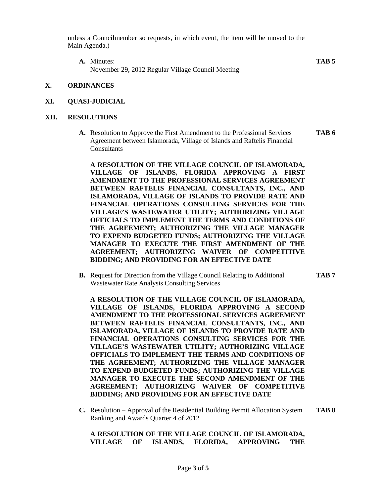unless a Councilmember so requests, in which event, the item will be moved to the Main Agenda.)

**A.** Minutes: **TAB 5** November 29, 2012 Regular Village Council Meeting

#### **X. ORDINANCES**

**XI. QUASI-JUDICIAL**

#### **XII. RESOLUTIONS**

**A.** Resolution to Approve the First Amendment to the Professional Services **TAB 6** Agreement between Islamorada, Village of Islands and Raftelis Financial **Consultants** 

**A RESOLUTION OF THE VILLAGE COUNCIL OF ISLAMORADA, VILLAGE OF ISLANDS, FLORIDA APPROVING A FIRST AMENDMENT TO THE PROFESSIONAL SERVICES AGREEMENT BETWEEN RAFTELIS FINANCIAL CONSULTANTS, INC., AND ISLAMORADA, VILLAGE OF ISLANDS TO PROVIDE RATE AND FINANCIAL OPERATIONS CONSULTING SERVICES FOR THE VILLAGE'S WASTEWATER UTILITY; AUTHORIZING VILLAGE OFFICIALS TO IMPLEMENT THE TERMS AND CONDITIONS OF THE AGREEMENT; AUTHORIZING THE VILLAGE MANAGER TO EXPEND BUDGETED FUNDS; AUTHORIZING THE VILLAGE MANAGER TO EXECUTE THE FIRST AMENDMENT OF THE AGREEMENT; AUTHORIZING WAIVER OF COMPETITIVE BIDDING; AND PROVIDING FOR AN EFFECTIVE DATE**

**B.** Request for Direction from the Village Council Relating to Additional **TAB 7** Wastewater Rate Analysis Consulting Services

**A RESOLUTION OF THE VILLAGE COUNCIL OF ISLAMORADA, VILLAGE OF ISLANDS, FLORIDA APPROVING A SECOND AMENDMENT TO THE PROFESSIONAL SERVICES AGREEMENT BETWEEN RAFTELIS FINANCIAL CONSULTANTS, INC., AND ISLAMORADA, VILLAGE OF ISLANDS TO PROVIDE RATE AND FINANCIAL OPERATIONS CONSULTING SERVICES FOR THE VILLAGE'S WASTEWATER UTILITY; AUTHORIZING VILLAGE OFFICIALS TO IMPLEMENT THE TERMS AND CONDITIONS OF THE AGREEMENT; AUTHORIZING THE VILLAGE MANAGER TO EXPEND BUDGETED FUNDS; AUTHORIZING THE VILLAGE MANAGER TO EXECUTE THE SECOND AMENDMENT OF THE AGREEMENT; AUTHORIZING WAIVER OF COMPETITIVE BIDDING; AND PROVIDING FOR AN EFFECTIVE DATE**

**C.** Resolution – Approval of the Residential Building Permit Allocation System **TAB 8** Ranking and Awards Quarter 4 of 2012

#### **A RESOLUTION OF THE VILLAGE COUNCIL OF ISLAMORADA, VILLAGE OF ISLANDS, FLORIDA, APPROVING THE**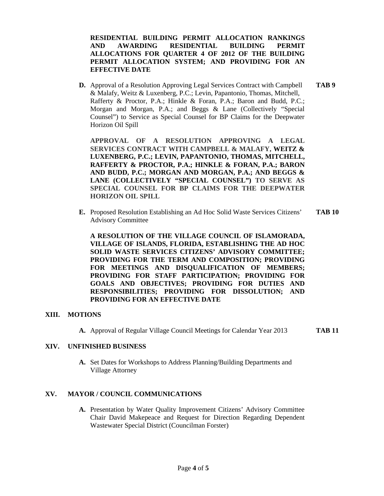**RESIDENTIAL BUILDING PERMIT ALLOCATION RANKINGS AND AWARDING RESIDENTIAL BUILDING PERMIT ALLOCATIONS FOR QUARTER 4 OF 2012 OF THE BUILDING PERMIT ALLOCATION SYSTEM; AND PROVIDING FOR AN EFFECTIVE DATE**

**D.** Approval of a Resolution Approving Legal Services Contract with Campbell **TAB 9** & Malafy, Weitz & Luxenberg, P.C.; Levin, Papantonio, Thomas, Mitchell, Rafferty & Proctor, P.A.; Hinkle & Foran, P.A.; Baron and Budd, P.C.; Morgan and Morgan, P.A.; and Beggs & Lane (Collectively "Special Counsel") to Service as Special Counsel for BP Claims for the Deepwater Horizon Oil Spill

**APPROVAL OF A RESOLUTION APPROVING A LEGAL SERVICES CONTRACT WITH CAMPBELL & MALAFY, WEITZ & LUXENBERG, P.C.; LEVIN, PAPANTONIO, THOMAS, MITCHELL, RAFFERTY & PROCTOR, P.A.; HINKLE & FORAN, P.A.; BARON AND BUDD, P.C.; MORGAN AND MORGAN, P.A.; AND BEGGS & LANE (COLLECTIVELY "SPECIAL COUNSEL") TO SERVE AS SPECIAL COUNSEL FOR BP CLAIMS FOR THE DEEPWATER HORIZON OIL SPILL**

**E.** Proposed Resolution Establishing an Ad Hoc Solid Waste Services Citizens' **TAB 10** Advisory Committee

**A RESOLUTION OF THE VILLAGE COUNCIL OF ISLAMORADA, VILLAGE OF ISLANDS, FLORIDA, ESTABLISHING THE AD HOC SOLID WASTE SERVICES CITIZENS' ADVISORY COMMITTEE; PROVIDING FOR THE TERM AND COMPOSITION; PROVIDING FOR MEETINGS AND DISQUALIFICATION OF MEMBERS; PROVIDING FOR STAFF PARTICIPATION; PROVIDING FOR GOALS AND OBJECTIVES; PROVIDING FOR DUTIES AND RESPONSIBILITIES; PROVIDING FOR DISSOLUTION; AND PROVIDING FOR AN EFFECTIVE DATE**

#### **XIII. MOTIONS**

**A.** Approval of Regular Village Council Meetings for Calendar Year 2013 **TAB 11**

#### **XIV. UNFINISHED BUSINESS**

**A.** Set Dates for Workshops to Address Planning/Building Departments and Village Attorney

#### **XV. MAYOR / COUNCIL COMMUNICATIONS**

**A.** Presentation by Water Quality Improvement Citizens' Advisory Committee Chair David Makepeace and Request for Direction Regarding Dependent Wastewater Special District (Councilman Forster)